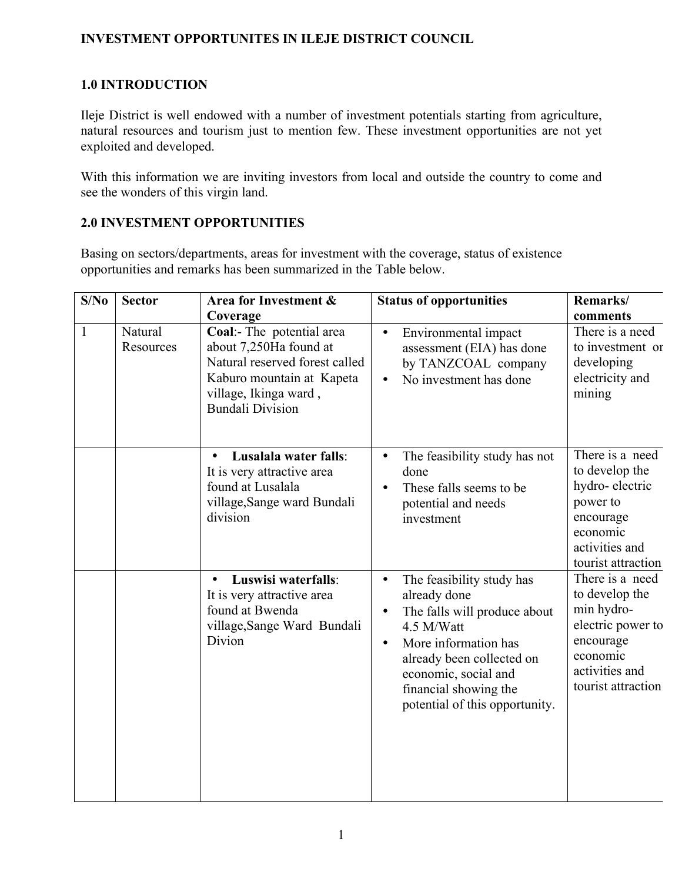## **INVESTMENT OPPORTUNITES IN ILEJE DISTRICT COUNCIL**

## **1.0 INTRODUCTION**

Ileje District is well endowed with a number of investment potentials starting from agriculture, natural resources and tourism just to mention few. These investment opportunities are not yet exploited and developed.

With this information we are inviting investors from local and outside the country to come and see the wonders of this virgin land.

## **2.0 INVESTMENT OPPORTUNITIES**

Basing on sectors/departments, areas for investment with the coverage, status of existence opportunities and remarks has been summarized in the Table below.

| S/No         | <b>Sector</b>        | Area for Investment &                                                                                                                                                              | <b>Status of opportunities</b>                                                                                                                                                                                                                                         | Remarks/                                                                                                                              |
|--------------|----------------------|------------------------------------------------------------------------------------------------------------------------------------------------------------------------------------|------------------------------------------------------------------------------------------------------------------------------------------------------------------------------------------------------------------------------------------------------------------------|---------------------------------------------------------------------------------------------------------------------------------------|
| $\mathbf{1}$ | Natural<br>Resources | Coverage<br>Coal:- The potential area<br>about 7,250Ha found at<br>Natural reserved forest called<br>Kaburo mountain at Kapeta<br>village, Ikinga ward,<br><b>Bundali Division</b> | Environmental impact<br>$\bullet$<br>assessment (EIA) has done<br>by TANZCOAL company<br>No investment has done                                                                                                                                                        | comments<br>There is a need<br>to investment or<br>developing<br>electricity and<br>mining                                            |
|              |                      | Lusalala water falls:<br>$\bullet$<br>It is very attractive area<br>found at Lusalala<br>village, Sange ward Bundali<br>division                                                   | The feasibility study has not<br>$\bullet$<br>done<br>These falls seems to be<br>potential and needs<br>investment                                                                                                                                                     | There is a need<br>to develop the<br>hydro-electric<br>power to<br>encourage<br>economic<br>activities and<br>tourist attraction      |
|              |                      | Luswisi waterfalls:<br>$\bullet$<br>It is very attractive area<br>found at Bwenda<br>village, Sange Ward Bundali<br>Divion                                                         | The feasibility study has<br>$\bullet$<br>already done<br>The falls will produce about<br>$\bullet$<br>4.5 M/Watt<br>More information has<br>$\bullet$<br>already been collected on<br>economic, social and<br>financial showing the<br>potential of this opportunity. | There is a need<br>to develop the<br>min hydro-<br>electric power to<br>encourage<br>economic<br>activities and<br>tourist attraction |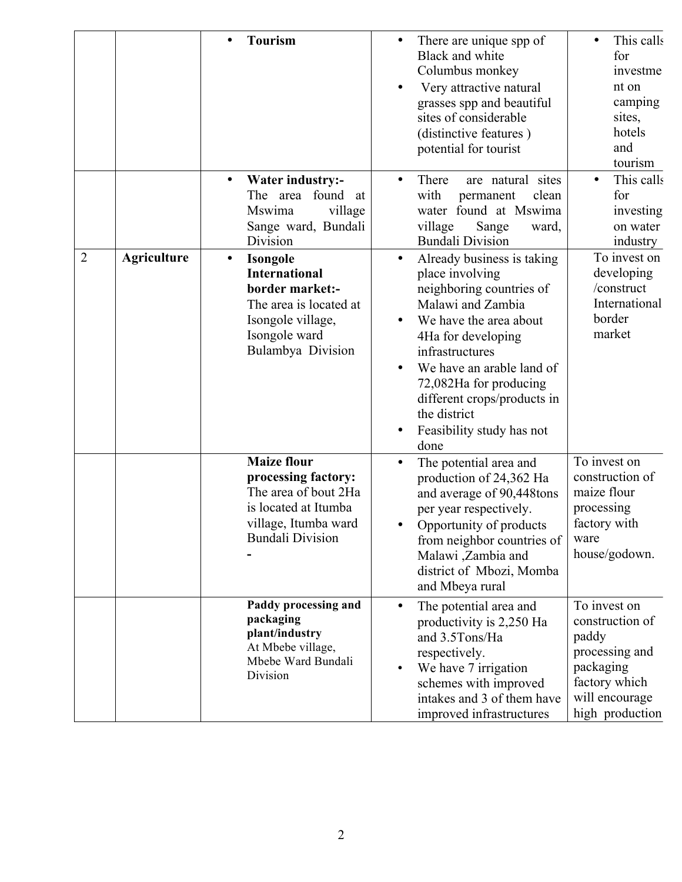|   |                    | <b>Tourism</b>                                                                                                                                               | There are unique spp of<br>Black and white<br>Columbus monkey<br>Very attractive natural<br>grasses spp and beautiful<br>sites of considerable<br>(distinctive features)<br>potential for tourist                                                                                                            | This calls<br>for<br>investme<br>nt on<br>camping<br>sites,<br>hotels<br>and<br>tourism                                       |
|---|--------------------|--------------------------------------------------------------------------------------------------------------------------------------------------------------|--------------------------------------------------------------------------------------------------------------------------------------------------------------------------------------------------------------------------------------------------------------------------------------------------------------|-------------------------------------------------------------------------------------------------------------------------------|
|   |                    | <b>Water industry:-</b><br>$\bullet$<br>found<br>The area<br>at<br>village<br>Mswima<br>Sange ward, Bundali<br>Division                                      | There<br>are natural sites<br>with<br>permanent<br>clean<br>water found at Mswima<br>village<br>Sange<br>ward,<br><b>Bundali Division</b>                                                                                                                                                                    | This calls<br>for<br>investing<br>on water<br>industry                                                                        |
| 2 | <b>Agriculture</b> | <b>Isongole</b><br>$\bullet$<br><b>International</b><br>border market:-<br>The area is located at<br>Isongole village,<br>Isongole ward<br>Bulambya Division | Already business is taking<br>place involving<br>neighboring countries of<br>Malawi and Zambia<br>We have the area about<br>4Ha for developing<br>infrastructures<br>We have an arable land of<br>72,082Ha for producing<br>different crops/products in<br>the district<br>Feasibility study has not<br>done | To invest on<br>developing<br>/construct<br>International<br>border<br>market                                                 |
|   |                    | <b>Maize flour</b><br>processing factory:<br>The area of bout 2Ha<br>is located at Itumba<br>village, Itumba ward<br><b>Bundali Division</b>                 | The potential area and<br>$\bullet$<br>production of 24,362 Ha<br>and average of 90,448tons<br>per year respectively.<br>Opportunity of products<br>from neighbor countries of<br>Malawi ,Zambia and<br>district of Mbozi, Momba<br>and Mbeya rural                                                          | To invest on<br>construction of<br>maize flour<br>processing<br>factory with<br>ware<br>house/godown.                         |
|   |                    | Paddy processing and<br>packaging<br>plant/industry<br>At Mbebe village,<br>Mbebe Ward Bundali<br>Division                                                   | The potential area and<br>$\bullet$<br>productivity is 2,250 Ha<br>and 3.5Tons/Ha<br>respectively.<br>We have 7 irrigation<br>schemes with improved<br>intakes and 3 of them have<br>improved infrastructures                                                                                                | To invest on<br>construction of<br>paddy<br>processing and<br>packaging<br>factory which<br>will encourage<br>high production |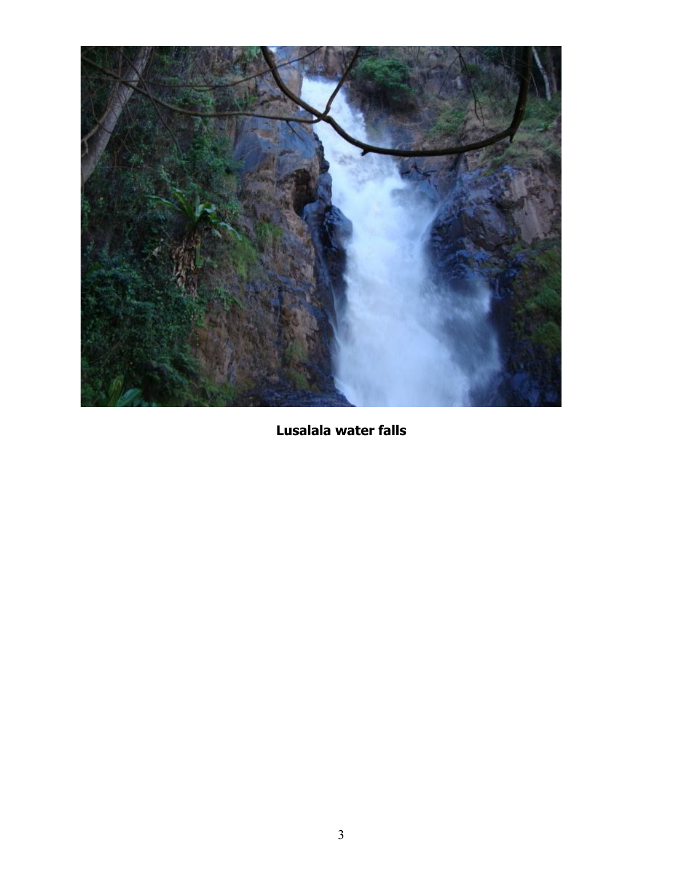

**Lusalala water falls**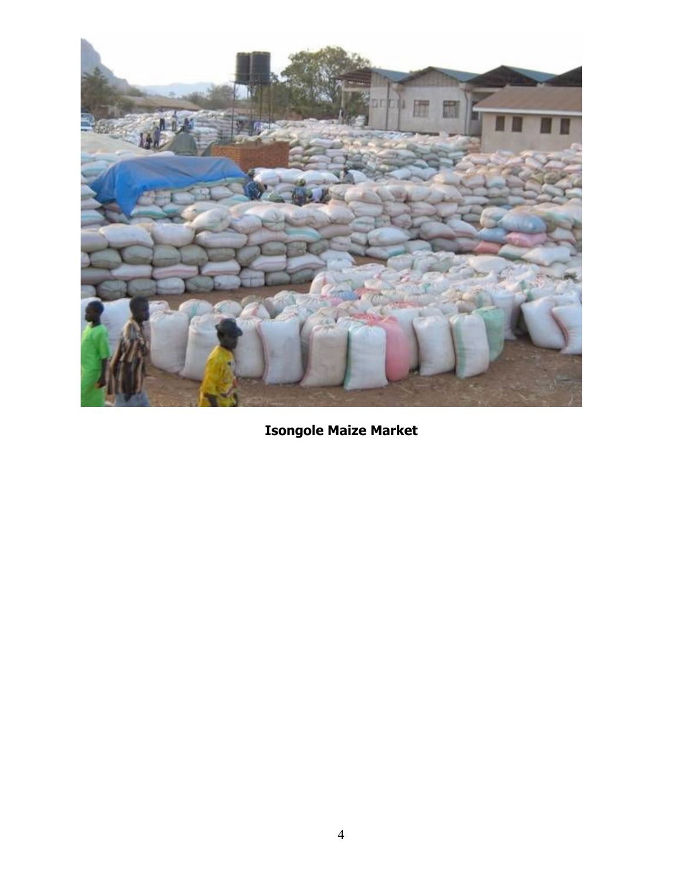

**Isongole Maize Market**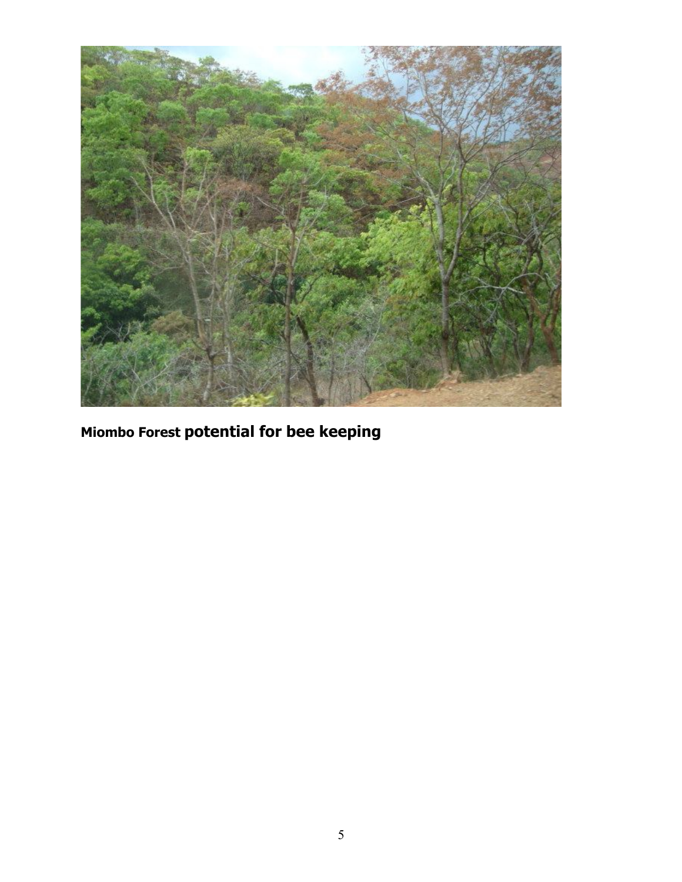

**Miombo Forest potential for bee keeping**